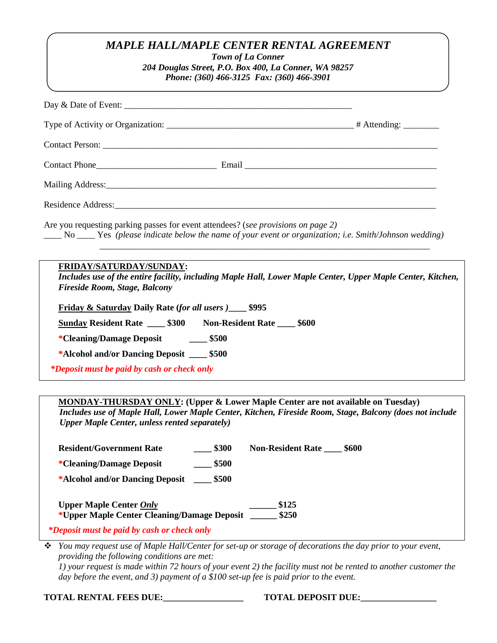## *MAPLE HALL/MAPLE CENTER RENTAL AGREEMENT*

*Town of La Conner 204 Douglas Street, P.O. Box 400, La Conner, WA 98257 Phone: (360) 466-3125 Fax: (360) 466-3901*

| Are you requesting parking passes for event attendees? (see provisions on page 2)<br>No ___ Yes (please indicate below the name of your event or organization; i.e. Smith/Johnson wedding)<br><u> 1989 - Johann Stoff, deutscher Stoff, der Stoff, der Stoff, der Stoff, der Stoff, der Stoff, der Stoff, der S</u> |  |
|---------------------------------------------------------------------------------------------------------------------------------------------------------------------------------------------------------------------------------------------------------------------------------------------------------------------|--|
| FRIDAY/SATURDAY/SUNDAY:<br>Includes use of the entire facility, including Maple Hall, Lower Maple Center, Upper Maple Center, Kitchen,<br><b>Fireside Room, Stage, Balcony</b><br>Friday & Saturday Daily Rate (for all users )_____ \$995                                                                          |  |
| <b>Sunday Resident Rate 4.5300 Non-Resident Rate 4.600</b>                                                                                                                                                                                                                                                          |  |
| *Cleaning/Damage Deposit ______ \$500                                                                                                                                                                                                                                                                               |  |
| *Alcohol and/or Dancing Deposit ____ \$500                                                                                                                                                                                                                                                                          |  |
| *Deposit must be paid by cash or check only                                                                                                                                                                                                                                                                         |  |

**MONDAY-THURSDAY ONLY: (Upper & Lower Maple Center are not available on Tuesday)** *Includes use of Maple Hall, Lower Maple Center, Kitchen, Fireside Room, Stage, Balcony (does not include Upper Maple Center, unless rented separately)*

| <b>Resident/Government Rate</b>                                               | \$300 | <b>Non-Resident Rate</b> | \$600 |
|-------------------------------------------------------------------------------|-------|--------------------------|-------|
| *Cleaning/Damage Deposit                                                      | \$500 |                          |       |
| *Alcohol and/or Dancing Deposit                                               | \$500 |                          |       |
| <b>Upper Maple Center Only</b><br>*Upper Maple Center Cleaning/Damage Deposit |       | \$125<br>\$250           |       |

*\*Deposit must be paid by cash or check only*

 *You may request use of Maple Hall/Center for set-up or storage of decorations the day prior to your event, providing the following conditions are met:*

*1) your request is made within 72 hours of your event 2) the facility must not be rented to another customer the day before the event, and 3) payment of a \$100 set-up fee is paid prior to the event.*

**TOTAL RENTAL FEES DUE:\_\_\_\_\_\_\_\_\_\_\_\_\_\_\_\_\_\_ TOTAL DEPOSIT DUE:\_\_\_\_\_\_\_\_\_\_\_\_\_\_\_\_\_**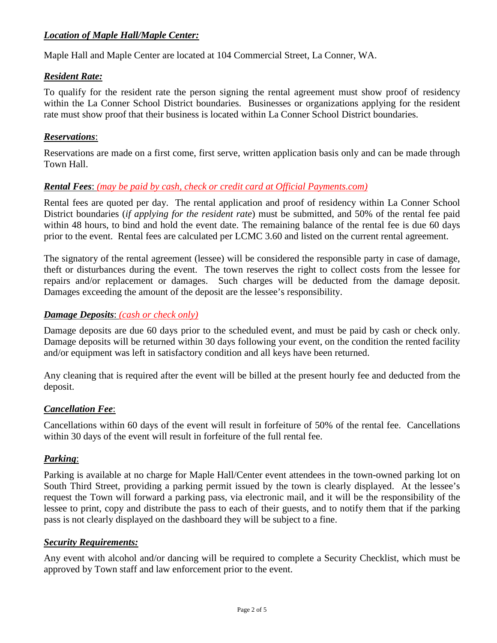### *Location of Maple Hall/Maple Center:*

Maple Hall and Maple Center are located at 104 Commercial Street, La Conner, WA.

#### *Resident Rate:*

To qualify for the resident rate the person signing the rental agreement must show proof of residency within the La Conner School District boundaries. Businesses or organizations applying for the resident rate must show proof that their business is located within La Conner School District boundaries.

#### *Reservations*:

Reservations are made on a first come, first serve, written application basis only and can be made through Town Hall.

#### *Rental Fees*: *(may be paid by cash, check or credit card at Official Payments.com)*

Rental fees are quoted per day. The rental application and proof of residency within La Conner School District boundaries (*if applying for the resident rate*) must be submitted, and 50% of the rental fee paid within 48 hours, to bind and hold the event date. The remaining balance of the rental fee is due 60 days prior to the event. Rental fees are calculated per LCMC 3.60 and listed on the current rental agreement.

The signatory of the rental agreement (lessee) will be considered the responsible party in case of damage, theft or disturbances during the event. The town reserves the right to collect costs from the lessee for repairs and/or replacement or damages. Such charges will be deducted from the damage deposit. Damages exceeding the amount of the deposit are the lessee's responsibility.

#### *Damage Deposits*: *(cash or check only)*

Damage deposits are due 60 days prior to the scheduled event, and must be paid by cash or check only. Damage deposits will be returned within 30 days following your event, on the condition the rented facility and/or equipment was left in satisfactory condition and all keys have been returned.

Any cleaning that is required after the event will be billed at the present hourly fee and deducted from the deposit.

#### *Cancellation Fee*:

Cancellations within 60 days of the event will result in forfeiture of 50% of the rental fee. Cancellations within 30 days of the event will result in forfeiture of the full rental fee.

#### *Parking*:

Parking is available at no charge for Maple Hall/Center event attendees in the town-owned parking lot on South Third Street, providing a parking permit issued by the town is clearly displayed. At the lessee's request the Town will forward a parking pass, via electronic mail, and it will be the responsibility of the lessee to print, copy and distribute the pass to each of their guests, and to notify them that if the parking pass is not clearly displayed on the dashboard they will be subject to a fine.

#### *Security Requirements:*

Any event with alcohol and/or dancing will be required to complete a Security Checklist, which must be approved by Town staff and law enforcement prior to the event.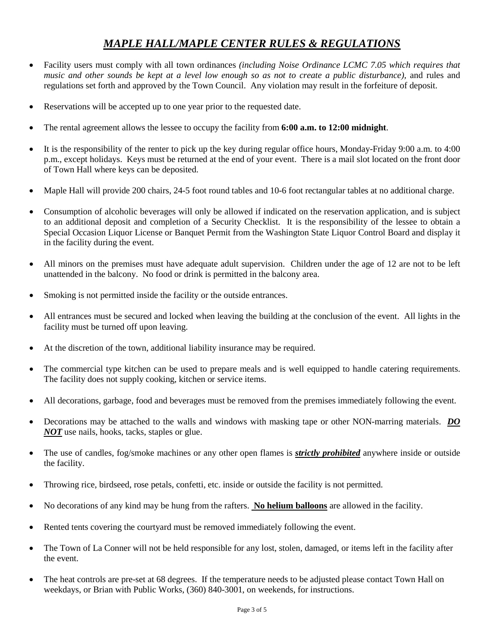# *MAPLE HALL/MAPLE CENTER RULES & REGULATIONS*

- Facility users must comply with all town ordinances *(including Noise Ordinance LCMC 7.05 which requires that music and other sounds be kept at a level low enough so as not to create a public disturbance),* and rules and regulations set forth and approved by the Town Council. Any violation may result in the forfeiture of deposit.
- Reservations will be accepted up to one year prior to the requested date.
- The rental agreement allows the lessee to occupy the facility from **6:00 a.m. to 12:00 midnight**.
- It is the responsibility of the renter to pick up the key during regular office hours, Monday-Friday 9:00 a.m. to 4:00 p.m., except holidays. Keys must be returned at the end of your event. There is a mail slot located on the front door of Town Hall where keys can be deposited.
- Maple Hall will provide 200 chairs, 24-5 foot round tables and 10-6 foot rectangular tables at no additional charge.
- Consumption of alcoholic beverages will only be allowed if indicated on the reservation application, and is subject to an additional deposit and completion of a Security Checklist. It is the responsibility of the lessee to obtain a Special Occasion Liquor License or Banquet Permit from the Washington State Liquor Control Board and display it in the facility during the event.
- All minors on the premises must have adequate adult supervision. Children under the age of 12 are not to be left unattended in the balcony. No food or drink is permitted in the balcony area.
- Smoking is not permitted inside the facility or the outside entrances.
- All entrances must be secured and locked when leaving the building at the conclusion of the event. All lights in the facility must be turned off upon leaving.
- At the discretion of the town, additional liability insurance may be required.
- The commercial type kitchen can be used to prepare meals and is well equipped to handle catering requirements. The facility does not supply cooking, kitchen or service items.
- All decorations, garbage, food and beverages must be removed from the premises immediately following the event.
- Decorations may be attached to the walls and windows with masking tape or other NON-marring materials. *DO NOT* use nails, hooks, tacks, staples or glue.
- The use of candles, fog/smoke machines or any other open flames is *strictly prohibited* anywhere inside or outside the facility.
- Throwing rice, birdseed, rose petals, confetti, etc. inside or outside the facility is not permitted.
- No decorations of any kind may be hung from the rafters. **No helium balloons** are allowed in the facility.
- Rented tents covering the courtyard must be removed immediately following the event.
- The Town of La Conner will not be held responsible for any lost, stolen, damaged, or items left in the facility after the event.
- The heat controls are pre-set at 68 degrees. If the temperature needs to be adjusted please contact Town Hall on weekdays, or Brian with Public Works, (360) 840-3001, on weekends, for instructions.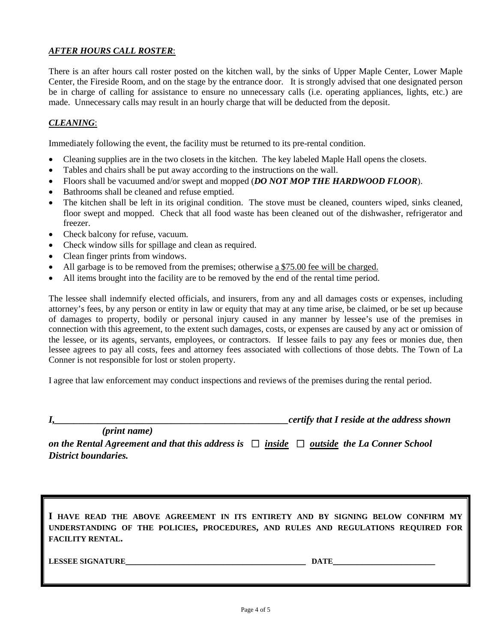#### *AFTER HOURS CALL ROSTER*:

There is an after hours call roster posted on the kitchen wall, by the sinks of Upper Maple Center, Lower Maple Center, the Fireside Room, and on the stage by the entrance door. It is strongly advised that one designated person be in charge of calling for assistance to ensure no unnecessary calls (i.e. operating appliances, lights, etc.) are made. Unnecessary calls may result in an hourly charge that will be deducted from the deposit.

#### *CLEANING*:

Immediately following the event, the facility must be returned to its pre-rental condition.

- Cleaning supplies are in the two closets in the kitchen. The key labeled Maple Hall opens the closets.
- Tables and chairs shall be put away according to the instructions on the wall.
- Floors shall be vacuumed and/or swept and mopped (*DO NOT MOP THE HARDWOOD FLOOR*).
- Bathrooms shall be cleaned and refuse emptied.
- The kitchen shall be left in its original condition. The stove must be cleaned, counters wiped, sinks cleaned, floor swept and mopped. Check that all food waste has been cleaned out of the dishwasher, refrigerator and freezer.
- Check balcony for refuse, vacuum.
- Check window sills for spillage and clean as required.
- Clean finger prints from windows.
- All garbage is to be removed from the premises; otherwise a \$75.00 fee will be charged.
- All items brought into the facility are to be removed by the end of the rental time period.

The lessee shall indemnify elected officials, and insurers, from any and all damages costs or expenses, including attorney's fees, by any person or entity in law or equity that may at any time arise, be claimed, or be set up because of damages to property, bodily or personal injury caused in any manner by lessee's use of the premises in connection with this agreement, to the extent such damages, costs, or expenses are caused by any act or omission of the lessee, or its agents, servants, employees, or contractors. If lessee fails to pay any fees or monies due, then lessee agrees to pay all costs, fees and attorney fees associated with collections of those debts. The Town of La Conner is not responsible for lost or stolen property.

I agree that law enforcement may conduct inspections and reviews of the premises during the rental period.

*I,\_\_\_\_\_\_\_\_\_\_\_\_\_\_\_\_\_\_\_\_\_\_\_\_\_\_\_\_\_\_\_\_\_\_\_\_\_\_\_\_\_\_\_\_\_\_\_\_certify that I reside at the address shown*

 *(print name) on the Rental Agreement and that this address is*  $\Box$  *inside*  $\Box$  *outside the La Conner School District boundaries.*

**I HAVE READ THE ABOVE AGREEMENT IN ITS ENTIRETY AND BY SIGNING BELOW CONFIRM MY UNDERSTANDING OF THE POLICIES, PROCEDURES, AND RULES AND REGULATIONS REQUIRED FOR FACILITY RENTAL.**

**LESSEE SIGNATURE LEGAL PROPERTY AND LEGAL PROPERTY OF A LIMIT CONTRACT OF A LIMIT CONTRACT OF A LIMIT CONTRACT OF A LIMIT CONTRACT OF A LIMIT CONTRACT OF A LIMIT CONTRACT OF A LIMIT CONTRACT OF A LIMIT CONTRACT OF A LIMIT**